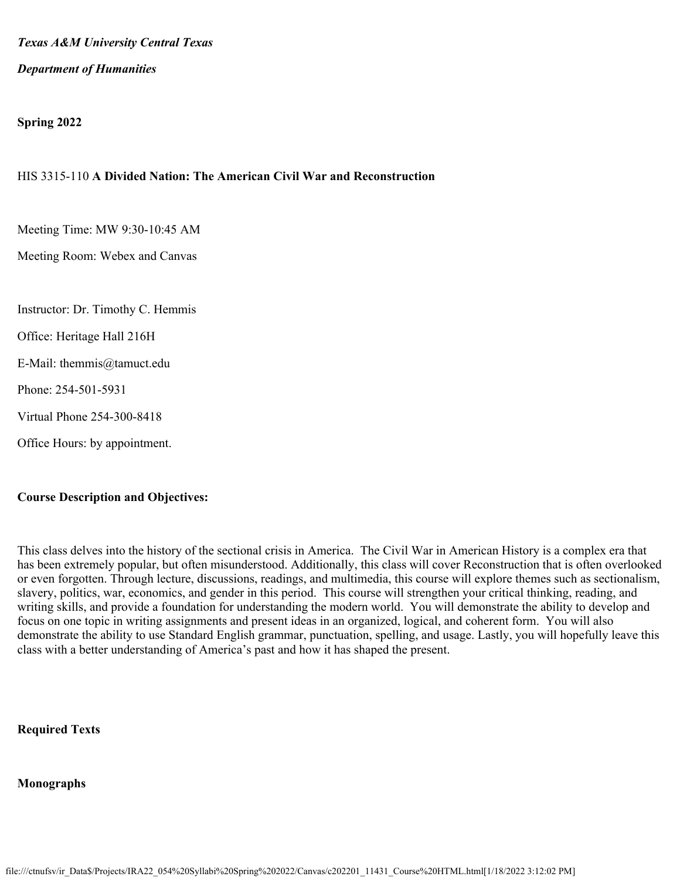*Texas A&M University Central Texas*

# *Department of Humanities*

# **Spring 2022**

# HIS 3315-110 **A Divided Nation: The American Civil War and Reconstruction**

Meeting Time: MW 9:30-10:45 AM

Meeting Room: Webex and Canvas

- Instructor: Dr. Timothy C. Hemmis
- Office: Heritage Hall 216H
- E-Mail: themmis@tamuct.edu
- Phone: 254-501-5931
- Virtual Phone 254-300-8418
- Office Hours: by appointment.

### **Course Description and Objectives:**

This class delves into the history of the sectional crisis in America. The Civil War in American History is a complex era that has been extremely popular, but often misunderstood. Additionally, this class will cover Reconstruction that is often overlooked or even forgotten. Through lecture, discussions, readings, and multimedia, this course will explore themes such as sectionalism, slavery, politics, war, economics, and gender in this period. This course will strengthen your critical thinking, reading, and writing skills, and provide a foundation for understanding the modern world. You will demonstrate the ability to develop and focus on one topic in writing assignments and present ideas in an organized, logical, and coherent form. You will also demonstrate the ability to use Standard English grammar, punctuation, spelling, and usage. Lastly, you will hopefully leave this class with a better understanding of America's past and how it has shaped the present.

### **Required Texts**

### **Monographs**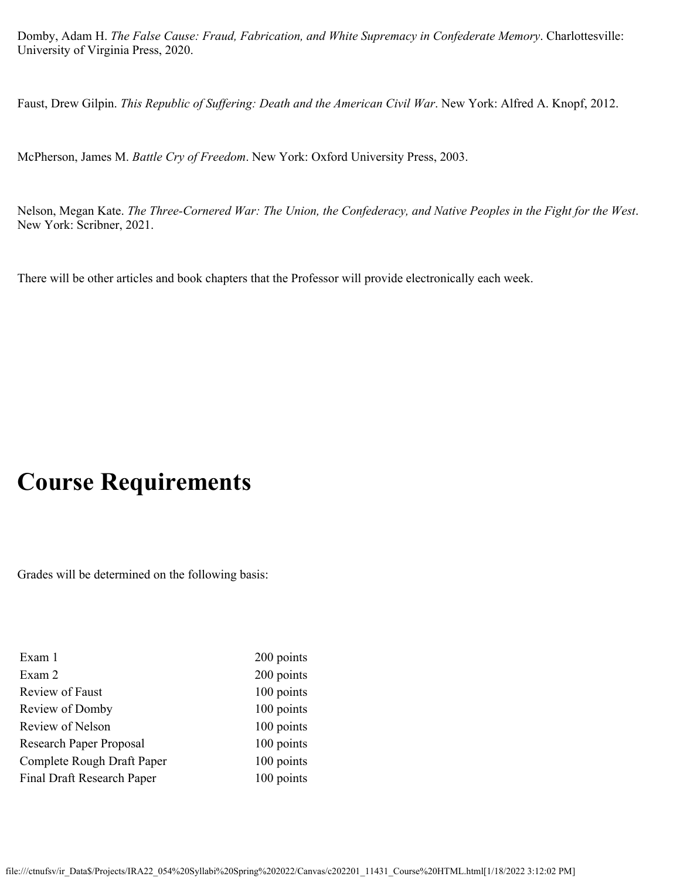Domby, Adam H. *The False Cause: Fraud, Fabrication, and White Supremacy in Confederate Memory*. Charlottesville: University of Virginia Press, 2020.

Faust, Drew Gilpin. *This Republic of Suffering: Death and the American Civil War*. New York: Alfred A. Knopf, 2012.

McPherson, James M. *Battle Cry of Freedom*. New York: Oxford University Press, 2003.

Nelson, Megan Kate. *The Three-Cornered War: The Union, the Confederacy, and Native Peoples in the Fight for the West*. New York: Scribner, 2021.

There will be other articles and book chapters that the Professor will provide electronically each week.

# **Course Requirements**

Grades will be determined on the following basis:

| Exam 1                     | 200 points |
|----------------------------|------------|
| Exam 2                     | 200 points |
| Review of Faust            | 100 points |
| Review of Domby            | 100 points |
| Review of Nelson           | 100 points |
| Research Paper Proposal    | 100 points |
| Complete Rough Draft Paper | 100 points |
| Final Draft Research Paper | 100 points |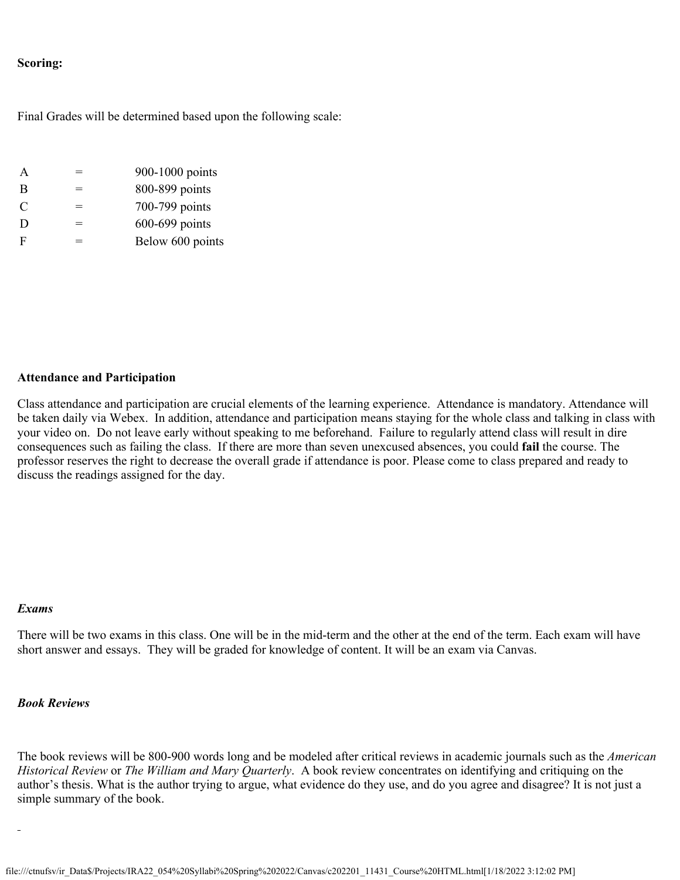## **Scoring:**

Final Grades will be determined based upon the following scale:

| A | $\equiv$ | 900-1000 points  |
|---|----------|------------------|
| B |          | 800-899 points   |
| C | $\equiv$ | 700-799 points   |
| D | ═        | 600-699 points   |
| F | =        | Below 600 points |

#### **Attendance and Participation**

Class attendance and participation are crucial elements of the learning experience. Attendance is mandatory. Attendance will be taken daily via Webex. In addition, attendance and participation means staying for the whole class and talking in class with your video on. Do not leave early without speaking to me beforehand. Failure to regularly attend class will result in dire consequences such as failing the class. If there are more than seven unexcused absences, you could **fail** the course. The professor reserves the right to decrease the overall grade if attendance is poor. Please come to class prepared and ready to discuss the readings assigned for the day.

#### *Exams*

There will be two exams in this class. One will be in the mid-term and the other at the end of the term. Each exam will have short answer and essays. They will be graded for knowledge of content. It will be an exam via Canvas.

#### *Book Reviews*

The book reviews will be 800-900 words long and be modeled after critical reviews in academic journals such as the *American Historical Review* or *The William and Mary Quarterly*. A book review concentrates on identifying and critiquing on the author's thesis. What is the author trying to argue, what evidence do they use, and do you agree and disagree? It is not just a simple summary of the book.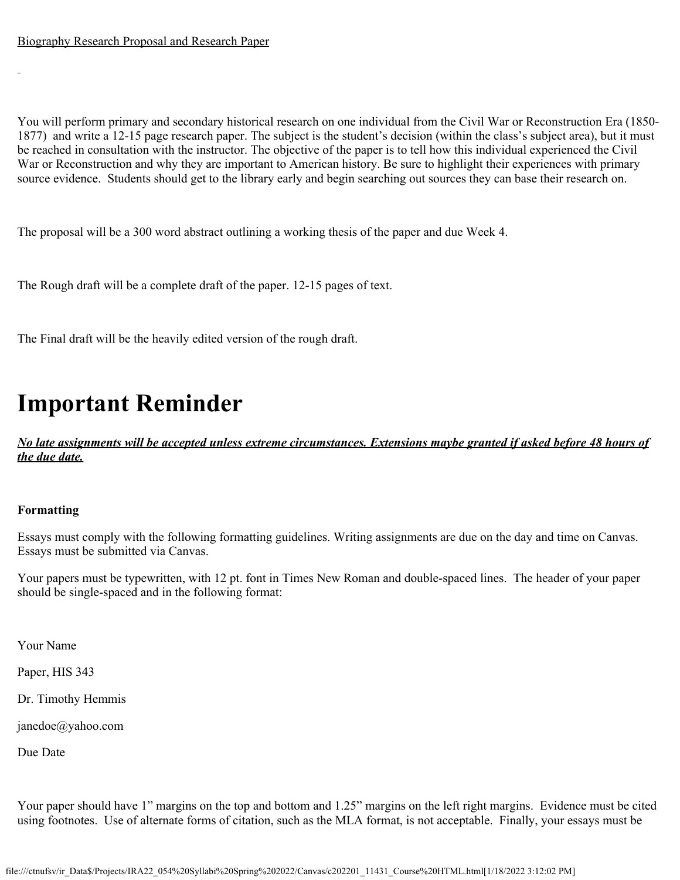You will perform primary and secondary historical research on one individual from the Civil War or Reconstruction Era (1850- 1877) and write a 12-15 page research paper. The subject is the student's decision (within the class's subject area), but it must be reached in consultation with the instructor. The objective of the paper is to tell how this individual experienced the Civil War or Reconstruction and why they are important to American history. Be sure to highlight their experiences with primary source evidence. Students should get to the library early and begin searching out sources they can base their research on.

The proposal will be a 300 word abstract outlining a working thesis of the paper and due Week 4.

The Rough draft will be a complete draft of the paper. 12-15 pages of text.

The Final draft will be the heavily edited version of the rough draft.

# **Important Reminder**

*No late assignments will be accepted unless extreme circumstances. Extensions maybe granted if asked before 48 hours of the due date.*

# **Formatting**

Essays must comply with the following formatting guidelines. Writing assignments are due on the day and time on Canvas. Essays must be submitted via Canvas.

Your papers must be typewritten, with 12 pt. font in Times New Roman and double-spaced lines. The header of your paper should be single-spaced and in the following format:

Your Name

Paper, HIS 343

Dr. Timothy Hemmis

janedoe@yahoo.com

Due Date

Your paper should have 1" margins on the top and bottom and 1.25" margins on the left right margins. Evidence must be cited using footnotes. Use of alternate forms of citation, such as the MLA format, is not acceptable. Finally, your essays must be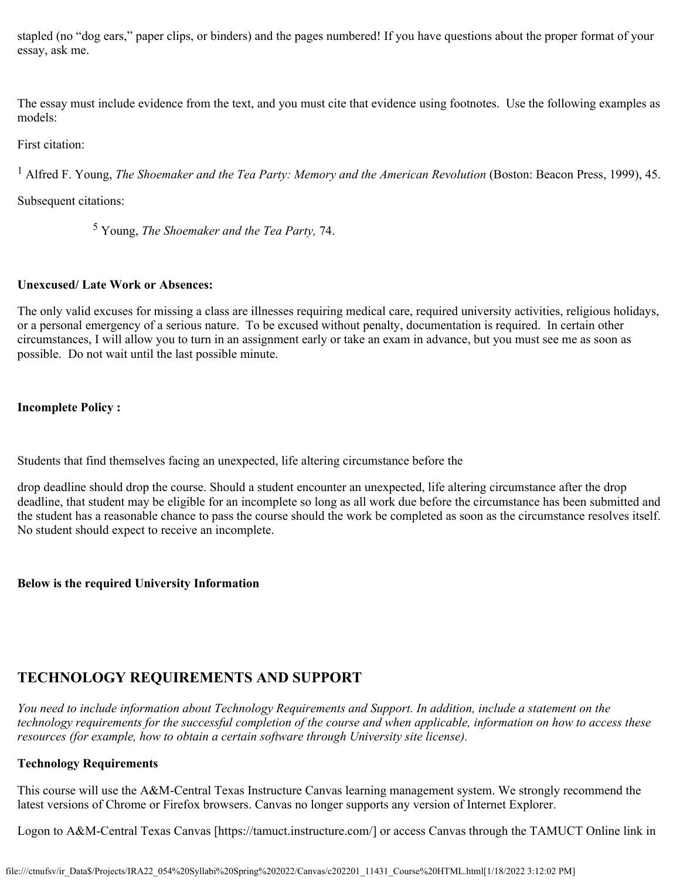stapled (no "dog ears," paper clips, or binders) and the pages numbered! If you have questions about the proper format of your essay, ask me.

The essay must include evidence from the text, and you must cite that evidence using footnotes. Use the following examples as models:

First citation:

<sup>1</sup> Alfred F. Young, *The Shoemaker and the Tea Party: Memory and the American Revolution (Boston: Beacon Press, 1999), 45.* 

Subsequent citations:

5 Young, *The Shoemaker and the Tea Party,* 74.

# **Unexcused/ Late Work or Absences:**

The only valid excuses for missing a class are illnesses requiring medical care, required university activities, religious holidays, or a personal emergency of a serious nature. To be excused without penalty, documentation is required. In certain other circumstances, I will allow you to turn in an assignment early or take an exam in advance, but you must see me as soon as possible. Do not wait until the last possible minute.

# **Incomplete Policy :**

Students that find themselves facing an unexpected, life altering circumstance before the

drop deadline should drop the course. Should a student encounter an unexpected, life altering circumstance after the drop deadline, that student may be eligible for an incomplete so long as all work due before the circumstance has been submitted and the student has a reasonable chance to pass the course should the work be completed as soon as the circumstance resolves itself. No student should expect to receive an incomplete.

# **Below is the required University Information**

# **TECHNOLOGY REQUIREMENTS AND SUPPORT**

*You need to include information about Technology Requirements and Support. In addition, include a statement on the technology requirements for the successful completion of the course and when applicable, information on how to access these resources (for example, how to obtain a certain software through University site license).*

# **Technology Requirements**

This course will use the A&M-Central Texas Instructure Canvas learning management system. We strongly recommend the latest versions of Chrome or Firefox browsers. Canvas no longer supports any version of Internet Explorer.

Logon to A&M-Central Texas Canvas [https://tamuct.instructure.com/] or access Canvas through the TAMUCT Online link in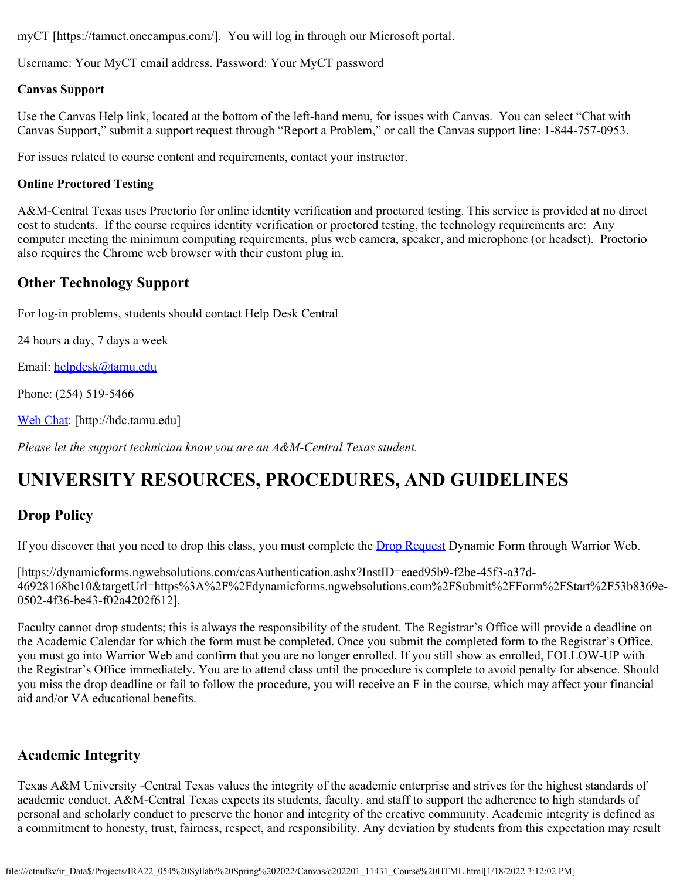myCT [https://tamuct.onecampus.com/]. You will log in through our Microsoft portal.

Username: Your MyCT email address. Password: Your MyCT password

# **Canvas Support**

Use the Canvas Help link, located at the bottom of the left-hand menu, for issues with Canvas. You can select "Chat with Canvas Support," submit a support request through "Report a Problem," or call the Canvas support line: 1-844-757-0953.

For issues related to course content and requirements, contact your instructor.

# **Online Proctored Testing**

A&M-Central Texas uses Proctorio for online identity verification and proctored testing. This service is provided at no direct cost to students. If the course requires identity verification or proctored testing, the technology requirements are: Any computer meeting the minimum computing requirements, plus web camera, speaker, and microphone (or headset). Proctorio also requires the Chrome web browser with their custom plug in.

# **Other Technology Support**

For log-in problems, students should contact Help Desk Central

24 hours a day, 7 days a week

Email: [helpdesk@tamu.edu](mailto:helpdesk@tamu.edu)

Phone: (254) 519-5466

[Web Chat](http://hdc.tamu.edu/): [http://hdc.tamu.edu]

*Please let the support technician know you are an A&M-Central Texas student.*

# **UNIVERSITY RESOURCES, PROCEDURES, AND GUIDELINES**

# **Drop Policy**

If you discover that you need to drop this class, you must complete the **Drop Request** Dynamic Form through Warrior Web.

[https://dynamicforms.ngwebsolutions.com/casAuthentication.ashx?InstID=eaed95b9-f2be-45f3-a37d-46928168bc10&targetUrl=https%3A%2F%2Fdynamicforms.ngwebsolutions.com%2FSubmit%2FForm%2FStart%2F53b8369e-0502-4f36-be43-f02a4202f612].

Faculty cannot drop students; this is always the responsibility of the student. The Registrar's Office will provide a deadline on the Academic Calendar for which the form must be completed. Once you submit the completed form to the Registrar's Office, you must go into Warrior Web and confirm that you are no longer enrolled. If you still show as enrolled, FOLLOW-UP with the Registrar's Office immediately. You are to attend class until the procedure is complete to avoid penalty for absence. Should you miss the drop deadline or fail to follow the procedure, you will receive an F in the course, which may affect your financial aid and/or VA educational benefits.

# **Academic Integrity**

Texas A&M University -Central Texas values the integrity of the academic enterprise and strives for the highest standards of academic conduct. A&M-Central Texas expects its students, faculty, and staff to support the adherence to high standards of personal and scholarly conduct to preserve the honor and integrity of the creative community. Academic integrity is defined as a commitment to honesty, trust, fairness, respect, and responsibility. Any deviation by students from this expectation may result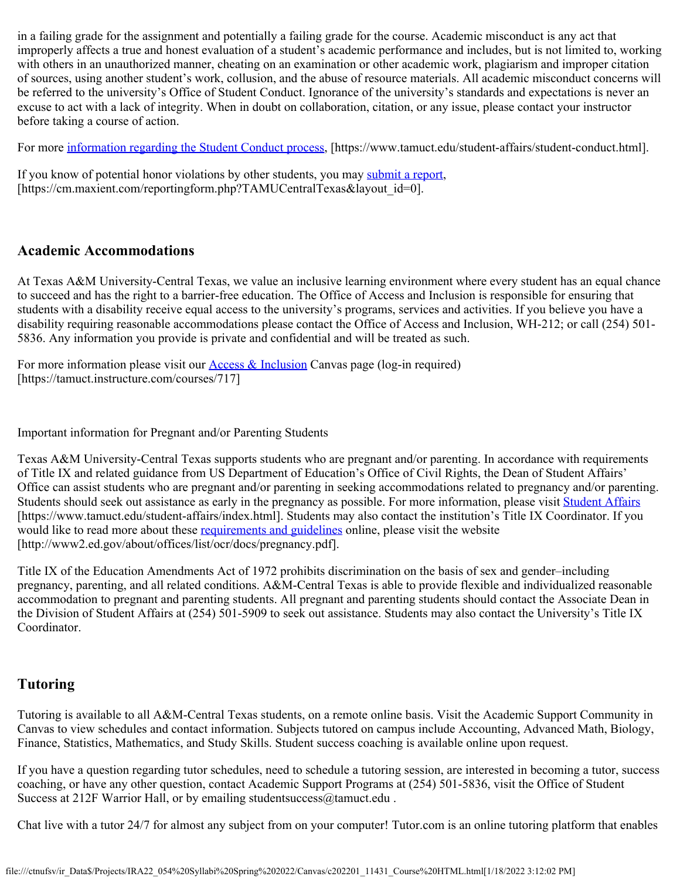in a failing grade for the assignment and potentially a failing grade for the course. Academic misconduct is any act that improperly affects a true and honest evaluation of a student's academic performance and includes, but is not limited to, working with others in an unauthorized manner, cheating on an examination or other academic work, plagiarism and improper citation of sources, using another student's work, collusion, and the abuse of resource materials. All academic misconduct concerns will be referred to the university's Office of Student Conduct. Ignorance of the university's standards and expectations is never an excuse to act with a lack of integrity. When in doubt on collaboration, citation, or any issue, please contact your instructor before taking a course of action.

For more [information regarding the Student Conduct process](https://www.tamuct.edu/student-affairs/student-conduct.html), [https://www.tamuct.edu/student-affairs/student-conduct.html].

If you know of potential honor violations by other students, you may [submit a report](https://cm.maxient.com/reportingform.php?TAMUCentralTexas&layout_id=0), [https://cm.maxient.com/reportingform.php?TAMUCentralTexas&layout\_id=0].

# **Academic Accommodations**

At Texas A&M University-Central Texas, we value an inclusive learning environment where every student has an equal chance to succeed and has the right to a barrier-free education. The Office of Access and Inclusion is responsible for ensuring that students with a disability receive equal access to the university's programs, services and activities. If you believe you have a disability requiring reasonable accommodations please contact the Office of Access and Inclusion, WH-212; or call (254) 501- 5836. Any information you provide is private and confidential and will be treated as such.

For more information please visit our **Access & Inclusion** Canvas page (log-in required) [https://tamuct.instructure.com/courses/717]

Important information for Pregnant and/or Parenting Students

Texas A&M University-Central Texas supports students who are pregnant and/or parenting. In accordance with requirements of Title IX and related guidance from US Department of Education's Office of Civil Rights, the Dean of Student Affairs' Office can assist students who are pregnant and/or parenting in seeking accommodations related to pregnancy and/or parenting. Students should seek out assistance as early in the pregnancy as possible. For more information, please visit [Student Affairs](https://www.tamuct.edu/student-affairs/index.html) [https://www.tamuct.edu/student-affairs/index.html]. Students may also contact the institution's Title IX Coordinator. If you would like to read more about these [requirements and guidelines](http://www2.ed.gov/about/offices/list/ocr/docs/pregnancy.pdf) online, please visit the website [http://www2.ed.gov/about/offices/list/ocr/docs/pregnancy.pdf].

Title IX of the Education Amendments Act of 1972 prohibits discrimination on the basis of sex and gender–including pregnancy, parenting, and all related conditions. A&M-Central Texas is able to provide flexible and individualized reasonable accommodation to pregnant and parenting students. All pregnant and parenting students should contact the Associate Dean in the Division of Student Affairs at (254) 501-5909 to seek out assistance. Students may also contact the University's Title IX Coordinator.

# **Tutoring**

Tutoring is available to all A&M-Central Texas students, on a remote online basis. Visit the Academic Support Community in Canvas to view schedules and contact information. Subjects tutored on campus include Accounting, Advanced Math, Biology, Finance, Statistics, Mathematics, and Study Skills. Student success coaching is available online upon request.

If you have a question regarding tutor schedules, need to schedule a tutoring session, are interested in becoming a tutor, success coaching, or have any other question, contact Academic Support Programs at (254) 501-5836, visit the Office of Student Success at 212F Warrior Hall, or by emailing studentsuccess@tamuct.edu .

Chat live with a tutor 24/7 for almost any subject from on your computer! Tutor.com is an online tutoring platform that enables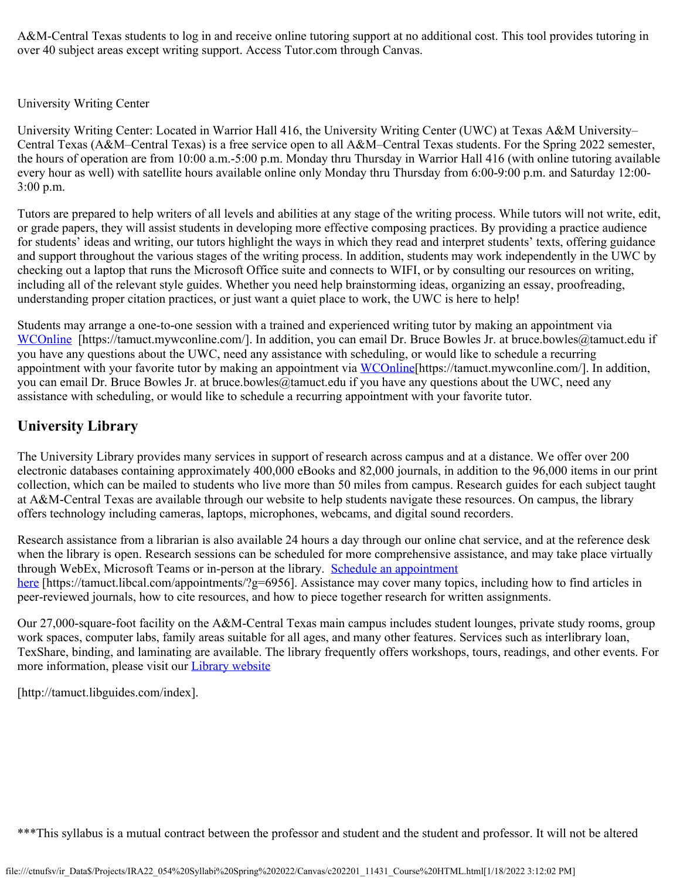A&M-Central Texas students to log in and receive online tutoring support at no additional cost. This tool provides tutoring in over 40 subject areas except writing support. Access Tutor.com through Canvas.

# University Writing Center

University Writing Center: Located in Warrior Hall 416, the University Writing Center (UWC) at Texas A&M University– Central Texas (A&M–Central Texas) is a free service open to all A&M–Central Texas students. For the Spring 2022 semester, the hours of operation are from 10:00 a.m.-5:00 p.m. Monday thru Thursday in Warrior Hall 416 (with online tutoring available every hour as well) with satellite hours available online only Monday thru Thursday from 6:00-9:00 p.m. and Saturday 12:00- 3:00 p.m.

Tutors are prepared to help writers of all levels and abilities at any stage of the writing process. While tutors will not write, edit, or grade papers, they will assist students in developing more effective composing practices. By providing a practice audience for students' ideas and writing, our tutors highlight the ways in which they read and interpret students' texts, offering guidance and support throughout the various stages of the writing process. In addition, students may work independently in the UWC by checking out a laptop that runs the Microsoft Office suite and connects to WIFI, or by consulting our resources on writing, including all of the relevant style guides. Whether you need help brainstorming ideas, organizing an essay, proofreading, understanding proper citation practices, or just want a quiet place to work, the UWC is here to help!

Students may arrange a one-to-one session with a trained and experienced writing tutor by making an appointment via [WCOnline](https://tamuct.mywconline.com/) [https://tamuct.mywconline.com/]. In addition, you can email Dr. Bruce Bowles Jr. at bruce.bowles@tamuct.edu if you have any questions about the UWC, need any assistance with scheduling, or would like to schedule a recurring appointment with your favorite tutor by making an appointment via [WCOnline](https://tamuct.mywconline.com/)[https://tamuct.mywconline.com/]. In addition, you can email Dr. Bruce Bowles Jr. at bruce.bowles@tamuct.edu if you have any questions about the UWC, need any assistance with scheduling, or would like to schedule a recurring appointment with your favorite tutor.

# **University Library**

The University Library provides many services in support of research across campus and at a distance. We offer over 200 electronic databases containing approximately 400,000 eBooks and 82,000 journals, in addition to the 96,000 items in our print collection, which can be mailed to students who live more than 50 miles from campus. Research guides for each subject taught at A&M-Central Texas are available through our website to help students navigate these resources. On campus, the library offers technology including cameras, laptops, microphones, webcams, and digital sound recorders.

Research assistance from a librarian is also available 24 hours a day through our online chat service, and at the reference desk when the library is open. Research sessions can be scheduled for more comprehensive assistance, and may take place virtually through WebEx, Microsoft Teams or in-person at the library. [Schedule an appointment](https://nam04.safelinks.protection.outlook.com/?url=https%3A%2F%2Ftamuct.libcal.com%2Fappointments%2F%3Fg%3D6956&data=04%7C01%7Clisa.bunkowski%40tamuct.edu%7Cde2c07d9f5804f09518008d9ab7ba6ff%7C9eed4e3000f744849ff193ad8005acec%7C0%7C0%7C637729369835011558%7CUnknown%7CTWFpbGZsb3d8eyJWIjoiMC4wLjAwMDAiLCJQIjoiV2luMzIiLCJBTiI6Ik1haWwiLCJXVCI6Mn0%3D%7C3000&sdata=KhtjgRSAw9aq%2FoBsB6wyu8b7PSuGN5EGPypzr3Ty2No%3D&reserved=0) [here](https://nam04.safelinks.protection.outlook.com/?url=https%3A%2F%2Ftamuct.libcal.com%2Fappointments%2F%3Fg%3D6956&data=04%7C01%7Clisa.bunkowski%40tamuct.edu%7Cde2c07d9f5804f09518008d9ab7ba6ff%7C9eed4e3000f744849ff193ad8005acec%7C0%7C0%7C637729369835011558%7CUnknown%7CTWFpbGZsb3d8eyJWIjoiMC4wLjAwMDAiLCJQIjoiV2luMzIiLCJBTiI6Ik1haWwiLCJXVCI6Mn0%3D%7C3000&sdata=KhtjgRSAw9aq%2FoBsB6wyu8b7PSuGN5EGPypzr3Ty2No%3D&reserved=0) [https://tamuct.libcal.com/appointments/?g=6956]. Assistance may cover many topics, including how to find articles in peer-reviewed journals, how to cite resources, and how to piece together research for written assignments.

Our 27,000-square-foot facility on the A&M-Central Texas main campus includes student lounges, private study rooms, group work spaces, computer labs, family areas suitable for all ages, and many other features. Services such as interlibrary loan, TexShare, binding, and laminating are available. The library frequently offers workshops, tours, readings, and other events. For more information, please visit our **[Library website](https://nam04.safelinks.protection.outlook.com/?url=https%3A%2F%2Ftamuct.libguides.com%2Findex&data=04%7C01%7Clisa.bunkowski%40tamuct.edu%7C7d8489e8839a4915335f08d916f067f2%7C9eed4e3000f744849ff193ad8005acec%7C0%7C0%7C637566044056484222%7CUnknown%7CTWFpbGZsb3d8eyJWIjoiMC4wLjAwMDAiLCJQIjoiV2luMzIiLCJBTiI6Ik1haWwiLCJXVCI6Mn0%3D%7C1000&sdata=2R755V6rcIyedGrd4Os5rkgn1PvhHKU3kUV1vBKiHFo%3D&reserved=0)** 

[http://tamuct.libguides.com/index].

\*\*\*This syllabus is a mutual contract between the professor and student and the student and professor. It will not be altered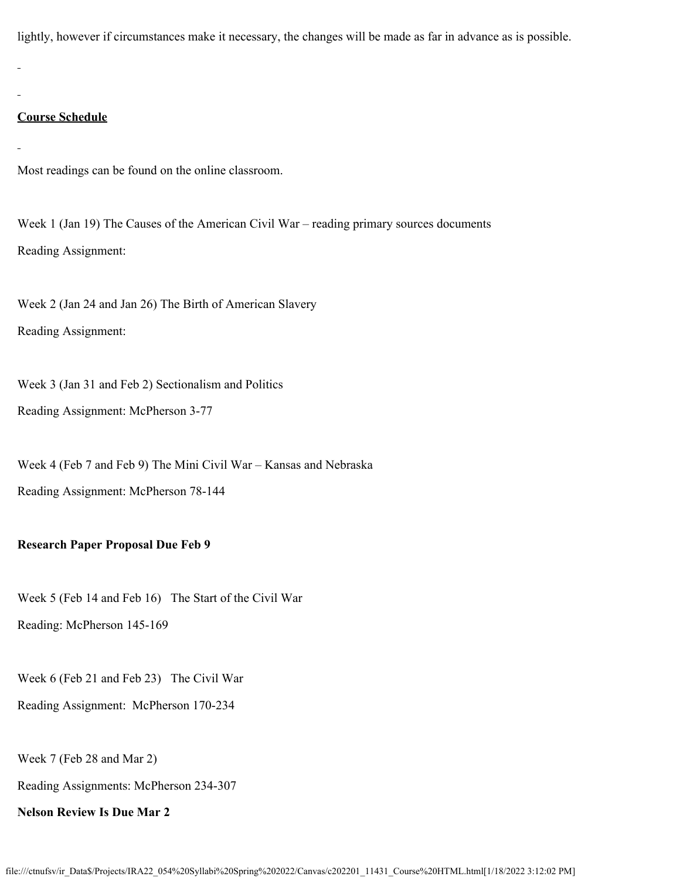lightly, however if circumstances make it necessary, the changes will be made as far in advance as is possible.

# **Course Schedule**

Most readings can be found on the online classroom.

Week 1 (Jan 19) The Causes of the American Civil War – reading primary sources documents Reading Assignment:

Week 2 (Jan 24 and Jan 26) The Birth of American Slavery Reading Assignment:

Week 3 (Jan 31 and Feb 2) Sectionalism and Politics Reading Assignment: McPherson 3-77

Week 4 (Feb 7 and Feb 9) The Mini Civil War – Kansas and Nebraska Reading Assignment: McPherson 78-144

# **Research Paper Proposal Due Feb 9**

Week 5 (Feb 14 and Feb 16) The Start of the Civil War Reading: McPherson 145-169

Week 6 (Feb 21 and Feb 23) The Civil War

Reading Assignment: McPherson 170-234

Week 7 (Feb 28 and Mar 2)

Reading Assignments: McPherson 234-307

**Nelson Review Is Due Mar 2**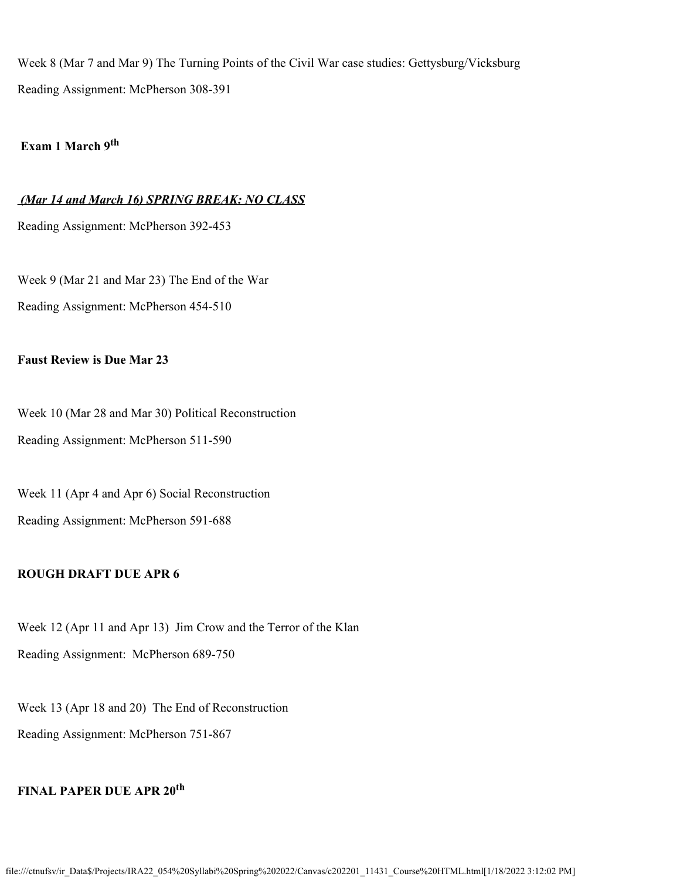Week 8 (Mar 7 and Mar 9) The Turning Points of the Civil War case studies: Gettysburg/Vicksburg Reading Assignment: McPherson 308-391

# **Exam 1 March 9th**

#### *(Mar 14 and March 16) SPRING BREAK: NO CLASS*

Reading Assignment: McPherson 392-453

Week 9 (Mar 21 and Mar 23) The End of the War Reading Assignment: McPherson 454-510

### **Faust Review is Due Mar 23**

Week 10 (Mar 28 and Mar 30) Political Reconstruction Reading Assignment: McPherson 511-590

Week 11 (Apr 4 and Apr 6) Social Reconstruction Reading Assignment: McPherson 591-688

# **ROUGH DRAFT DUE APR 6**

Week 12 (Apr 11 and Apr 13) Jim Crow and the Terror of the Klan Reading Assignment: McPherson 689-750

Week 13 (Apr 18 and 20) The End of Reconstruction Reading Assignment: McPherson 751-867

# **FINAL PAPER DUE APR 20th**